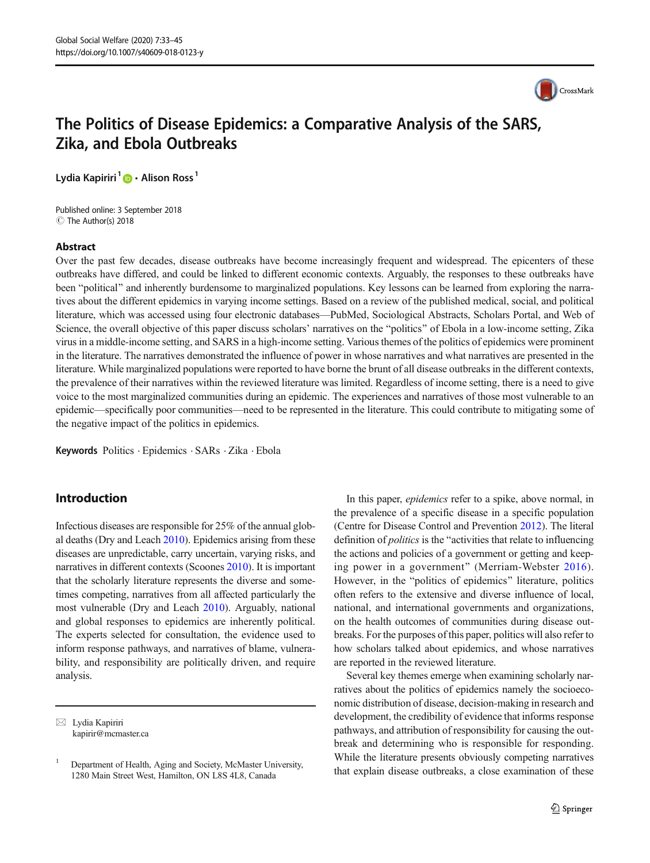

# The Politics of Disease Epidemics: a Comparative Analysis of the SARS, Zika, and Ebola Outbreaks

Lydia Kapiriri<sup>1</sup> D · Alison Ross<sup>1</sup>

Published online: 3 September 2018 C The Author(s) 2018

#### Abstract

Over the past few decades, disease outbreaks have become increasingly frequent and widespread. The epicenters of these outbreaks have differed, and could be linked to different economic contexts. Arguably, the responses to these outbreaks have been "political" and inherently burdensome to marginalized populations. Key lessons can be learned from exploring the narratives about the different epidemics in varying income settings. Based on a review of the published medical, social, and political literature, which was accessed using four electronic databases—PubMed, Sociological Abstracts, Scholars Portal, and Web of Science, the overall objective of this paper discuss scholars' narratives on the "politics" of Ebola in a low-income setting, Zika virus in a middle-income setting, and SARS in a high-income setting. Various themes of the politics of epidemics were prominent in the literature. The narratives demonstrated the influence of power in whose narratives and what narratives are presented in the literature. While marginalized populations were reported to have borne the brunt of all disease outbreaks in the different contexts, the prevalence of their narratives within the reviewed literature was limited. Regardless of income setting, there is a need to give voice to the most marginalized communities during an epidemic. The experiences and narratives of those most vulnerable to an epidemic—specifically poor communities—need to be represented in the literature. This could contribute to mitigating some of the negative impact of the politics in epidemics.

Keywords Politics . Epidemics . SARs . Zika . Ebola

# Introduction

Infectious diseases are responsible for 25% of the annual global deaths (Dry and Leach [2010](#page-11-0)). Epidemics arising from these diseases are unpredictable, carry uncertain, varying risks, and narratives in different contexts (Scoones [2010](#page-12-0)). It is important that the scholarly literature represents the diverse and sometimes competing, narratives from all affected particularly the most vulnerable (Dry and Leach [2010\)](#page-11-0). Arguably, national and global responses to epidemics are inherently political. The experts selected for consultation, the evidence used to inform response pathways, and narratives of blame, vulnerability, and responsibility are politically driven, and require analysis.

In this paper, epidemics refer to a spike, above normal, in the prevalence of a specific disease in a specific population (Centre for Disease Control and Prevention [2012](#page-11-0)). The literal definition of *politics* is the "activities that relate to influencing the actions and policies of a government or getting and keep-ing power in a government" (Merriam-Webster [2016](#page-11-0)). However, in the "politics of epidemics" literature, politics often refers to the extensive and diverse influence of local, national, and international governments and organizations, on the health outcomes of communities during disease outbreaks. For the purposes of this paper, politics will also refer to how scholars talked about epidemics, and whose narratives are reported in the reviewed literature.

Several key themes emerge when examining scholarly narratives about the politics of epidemics namely the socioeconomic distribution of disease, decision-making in research and development, the credibility of evidence that informs response pathways, and attribution of responsibility for causing the outbreak and determining who is responsible for responding. While the literature presents obviously competing narratives that explain disease outbreaks, a close examination of these

 $\boxtimes$  Lydia Kapiriri [kapirir@mcmaster.ca](mailto:kapirir@mcmaster.ca)

<sup>1</sup> Department of Health, Aging and Society, McMaster University, 1280 Main Street West, Hamilton, ON L8S 4L8, Canada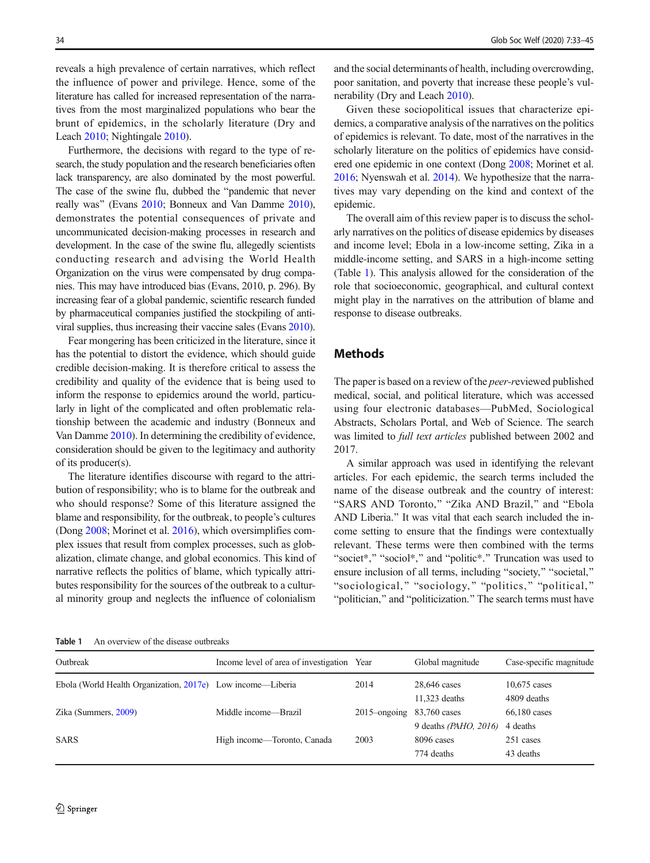reveals a high prevalence of certain narratives, which reflect the influence of power and privilege. Hence, some of the literature has called for increased representation of the narratives from the most marginalized populations who bear the brunt of epidemics, in the scholarly literature (Dry and Leach [2010;](#page-11-0) Nightingale [2010](#page-12-0)).

Furthermore, the decisions with regard to the type of research, the study population and the research beneficiaries often lack transparency, are also dominated by the most powerful. The case of the swine flu, dubbed the "pandemic that never really was" (Evans [2010](#page-11-0); Bonneux and Van Damme [2010\)](#page-11-0), demonstrates the potential consequences of private and uncommunicated decision-making processes in research and development. In the case of the swine flu, allegedly scientists conducting research and advising the World Health Organization on the virus were compensated by drug companies. This may have introduced bias (Evans, 2010, p. 296). By increasing fear of a global pandemic, scientific research funded by pharmaceutical companies justified the stockpiling of antiviral supplies, thus increasing their vaccine sales (Evans [2010\)](#page-11-0).

Fear mongering has been criticized in the literature, since it has the potential to distort the evidence, which should guide credible decision-making. It is therefore critical to assess the credibility and quality of the evidence that is being used to inform the response to epidemics around the world, particularly in light of the complicated and often problematic relationship between the academic and industry (Bonneux and Van Damme [2010\)](#page-11-0). In determining the credibility of evidence, consideration should be given to the legitimacy and authority of its producer(s).

The literature identifies discourse with regard to the attribution of responsibility; who is to blame for the outbreak and who should response? Some of this literature assigned the blame and responsibility, for the outbreak, to people's cultures (Dong [2008;](#page-11-0) Morinet et al. [2016](#page-11-0)), which oversimplifies complex issues that result from complex processes, such as globalization, climate change, and global economics. This kind of narrative reflects the politics of blame, which typically attributes responsibility for the sources of the outbreak to a cultural minority group and neglects the influence of colonialism

and the social determinants of health, including overcrowding, poor sanitation, and poverty that increase these people's vulnerability (Dry and Leach [2010](#page-11-0)).

Given these sociopolitical issues that characterize epidemics, a comparative analysis of the narratives on the politics of epidemics is relevant. To date, most of the narratives in the scholarly literature on the politics of epidemics have considered one epidemic in one context (Dong [2008;](#page-11-0) Morinet et al. [2016;](#page-11-0) Nyenswah et al. [2014](#page-12-0)). We hypothesize that the narratives may vary depending on the kind and context of the epidemic.

The overall aim of this review paper is to discuss the scholarly narratives on the politics of disease epidemics by diseases and income level; Ebola in a low-income setting, Zika in a middle-income setting, and SARS in a high-income setting (Table 1). This analysis allowed for the consideration of the role that socioeconomic, geographical, and cultural context might play in the narratives on the attribution of blame and response to disease outbreaks.

#### Methods

The paper is based on a review of the *peer-r*eviewed published medical, social, and political literature, which was accessed using four electronic databases—PubMed, Sociological Abstracts, Scholars Portal, and Web of Science. The search was limited to full text articles published between 2002 and 2017.

A similar approach was used in identifying the relevant articles. For each epidemic, the search terms included the name of the disease outbreak and the country of interest: "SARS AND Toronto," "Zika AND Brazil," and "Ebola AND Liberia." It was vital that each search included the income setting to ensure that the findings were contextually relevant. These terms were then combined with the terms "societ\*," "sociol\*," and "politic\*." Truncation was used to ensure inclusion of all terms, including "society," "societal," "sociological," "sociology," "politics," "political," "politician," and "politicization." The search terms must have

Table 1 An overview of the disease outbreaks

| Outbreak                                                    | Income level of area of investigation Year |                 | Global magnitude             | Case-specific magnitude |
|-------------------------------------------------------------|--------------------------------------------|-----------------|------------------------------|-------------------------|
| Ebola (World Health Organization, 2017e) Low income—Liberia |                                            | 2014            | 28,646 cases                 | $10,675$ cases          |
|                                                             |                                            |                 | $11,323$ deaths              | 4809 deaths             |
| Zika (Summers, 2009)                                        | Middle income—Brazil                       | $2015$ -ongoing | 83,760 cases                 | 66,180 cases            |
|                                                             |                                            |                 | 9 deaths <i>(PAHO, 2016)</i> | 4 deaths                |
| <b>SARS</b>                                                 | High income—Toronto, Canada                | 2003            | 8096 cases                   | 251 cases               |
|                                                             |                                            |                 | 774 deaths                   | 43 deaths               |
|                                                             |                                            |                 |                              |                         |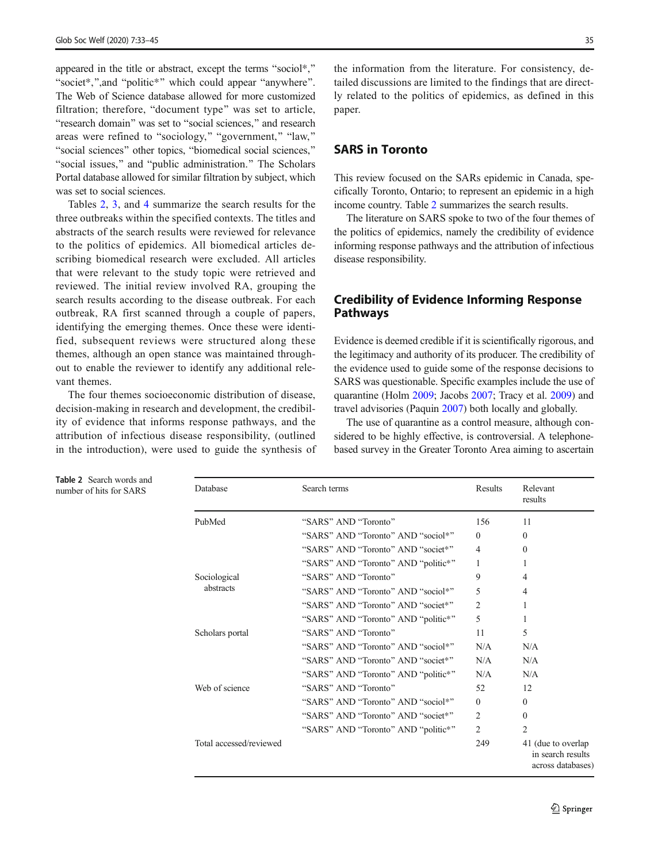appeared in the title or abstract, except the terms "sociol $^*$ ," "societ\*,",and "politic\*" which could appear "anywhere". The Web of Science database allowed for more customized filtration; therefore, "document type" was set to article, "research domain" was set to "social sciences," and research areas were refined to "sociology," "government," "law," "social sciences" other topics, "biomedical social sciences," "social issues," and "public administration." The Scholars Portal database allowed for similar filtration by subject, which was set to social sciences.

Tables 2, [3](#page-3-0), and [4](#page-4-0) summarize the search results for the three outbreaks within the specified contexts. The titles and abstracts of the search results were reviewed for relevance to the politics of epidemics. All biomedical articles describing biomedical research were excluded. All articles that were relevant to the study topic were retrieved and reviewed. The initial review involved RA, grouping the search results according to the disease outbreak. For each outbreak, RA first scanned through a couple of papers, identifying the emerging themes. Once these were identified, subsequent reviews were structured along these themes, although an open stance was maintained throughout to enable the reviewer to identify any additional relevant themes.

The four themes socioeconomic distribution of disease, decision-making in research and development, the credibility of evidence that informs response pathways, and the attribution of infectious disease responsibility, (outlined in the introduction), were used to guide the synthesis of

the information from the literature. For consistency, detailed discussions are limited to the findings that are directly related to the politics of epidemics, as defined in this paper.

## SARS in Toronto

This review focused on the SARs epidemic in Canada, specifically Toronto, Ontario; to represent an epidemic in a high income country. Table 2 summarizes the search results.

The literature on SARS spoke to two of the four themes of the politics of epidemics, namely the credibility of evidence informing response pathways and the attribution of infectious disease responsibility.

## Credibility of Evidence Informing Response Pathways

Evidence is deemed credible if it is scientifically rigorous, and the legitimacy and authority of its producer. The credibility of the evidence used to guide some of the response decisions to SARS was questionable. Specific examples include the use of quarantine (Holm [2009;](#page-11-0) Jacobs [2007;](#page-11-0) Tracy et al. [2009](#page-12-0)) and travel advisories (Paquin [2007\)](#page-12-0) both locally and globally.

The use of quarantine as a control measure, although considered to be highly effective, is controversial. A telephonebased survey in the Greater Toronto Area aiming to ascertain

| Database                | Search terms                        | Results        | Relevant<br>results                                           |
|-------------------------|-------------------------------------|----------------|---------------------------------------------------------------|
| PubMed                  | "SARS" AND "Toronto"                | 156            | 11                                                            |
|                         | "SARS" AND "Toronto" AND "sociol*"  | $\Omega$       | $\Omega$                                                      |
|                         | "SARS" AND "Toronto" AND "societ*"  | 4              | $\theta$                                                      |
|                         | "SARS" AND "Toronto" AND "politic*" | 1              | 1                                                             |
| Sociological            | "SARS" AND "Toronto"                | 9              | $\overline{4}$                                                |
| abstracts               | "SARS" AND "Toronto" AND "sociol*"  | 5              | $\overline{4}$                                                |
|                         | "SARS" AND "Toronto" AND "societ*"  | 2              | 1                                                             |
|                         | "SARS" AND "Toronto" AND "politic*" | 5              | 1                                                             |
| Scholars portal         | "SARS" AND "Toronto"                | 11             | 5                                                             |
|                         | "SARS" AND "Toronto" AND "sociol*"  | N/A            | N/A                                                           |
|                         | "SARS" AND "Toronto" AND "societ*"  | N/A            | N/A                                                           |
|                         | "SARS" AND "Toronto" AND "politic*" | N/A            | N/A                                                           |
| Web of science          | "SARS" AND "Toronto"                | 52             | 12                                                            |
|                         | "SARS" AND "Toronto" AND "sociol*"  | $\Omega$       | $\Omega$                                                      |
|                         | "SARS" AND "Toronto" AND "societ*"  | 2              | $\Omega$                                                      |
|                         | "SARS" AND "Toronto" AND "politic*" | $\overline{c}$ | $\overline{2}$                                                |
| Total accessed/reviewed |                                     | 249            | 41 (due to overlap)<br>in search results<br>across databases) |

Table 2 Search words and number of hits for SARS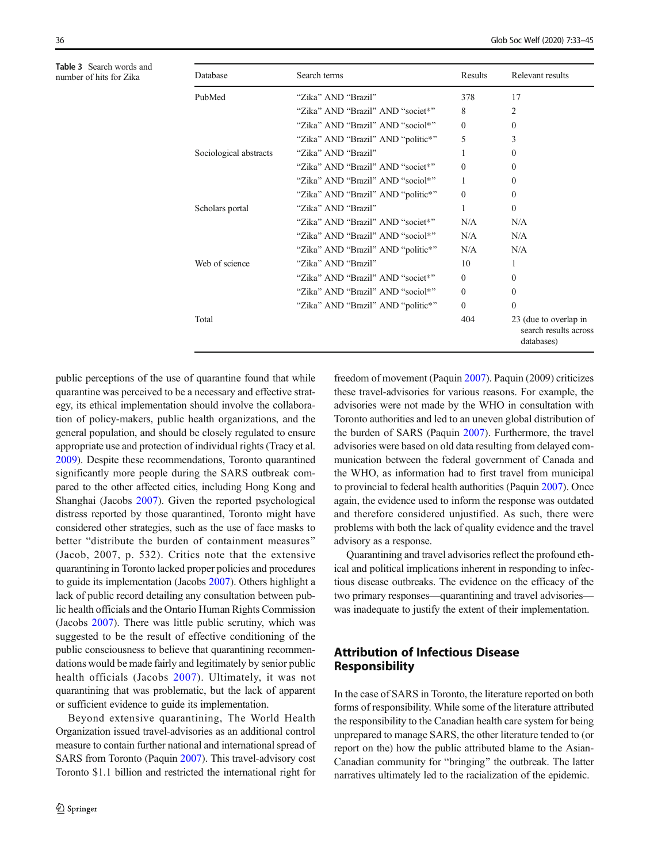<span id="page-3-0"></span>Table 3 Search words and number of hits for Zika

| Database               | Search terms                       | Results  | Relevant results                                             |
|------------------------|------------------------------------|----------|--------------------------------------------------------------|
| PubMed                 | "Zika" AND "Brazil"                | 378      | 17                                                           |
|                        | "Zika" AND "Brazil" AND "societ*"  | 8        | $\mathfrak{D}_{\mathfrak{p}}$                                |
|                        | "Zika" AND "Brazil" AND "sociol*"  | $\Omega$ | $\Omega$                                                     |
|                        | "Zika" AND "Brazil" AND "politic*" | 5        | 3                                                            |
| Sociological abstracts | "Zika" AND "Brazil"                |          | 0                                                            |
|                        | "Zika" AND "Brazil" AND "societ*"  | $\Omega$ | $\Omega$                                                     |
|                        | "Zika" AND "Brazil" AND "sociol*"  |          | $\Omega$                                                     |
|                        | "Zika" AND "Brazil" AND "politic*" | $\Omega$ | $\Omega$                                                     |
| Scholars portal        | "Zika" AND "Brazil"                | 1        | $\Omega$                                                     |
|                        | "Zika" AND "Brazil" AND "societ*"  | N/A      | N/A                                                          |
|                        | "Zika" AND "Brazil" AND "sociol*"  | N/A      | N/A                                                          |
|                        | "Zika" AND "Brazil" AND "politic*" | N/A      | N/A                                                          |
| Web of science         | "Zika" AND "Brazil"                | 10       | 1                                                            |
|                        | "Zika" AND "Brazil" AND "societ*"  | $\theta$ | $\Omega$                                                     |
|                        | "Zika" AND "Brazil" AND "sociol*"  | $\Omega$ | $\theta$                                                     |
|                        | "Zika" AND "Brazil" AND "politic*" | $\Omega$ | $\Omega$                                                     |
| Total                  |                                    | 404      | 23 (due to overlap in<br>search results across<br>databases) |

public perceptions of the use of quarantine found that while quarantine was perceived to be a necessary and effective strategy, its ethical implementation should involve the collaboration of policy-makers, public health organizations, and the general population, and should be closely regulated to ensure appropriate use and protection of individual rights (Tracy et al. [2009\)](#page-12-0). Despite these recommendations, Toronto quarantined significantly more people during the SARS outbreak compared to the other affected cities, including Hong Kong and Shanghai (Jacobs [2007\)](#page-11-0). Given the reported psychological distress reported by those quarantined, Toronto might have considered other strategies, such as the use of face masks to better "distribute the burden of containment measures" (Jacob, 2007, p. 532). Critics note that the extensive quarantining in Toronto lacked proper policies and procedures to guide its implementation (Jacobs [2007\)](#page-11-0). Others highlight a lack of public record detailing any consultation between public health officials and the Ontario Human Rights Commission (Jacobs [2007](#page-11-0)). There was little public scrutiny, which was suggested to be the result of effective conditioning of the public consciousness to believe that quarantining recommendations would be made fairly and legitimately by senior public health officials (Jacobs [2007\)](#page-11-0). Ultimately, it was not quarantining that was problematic, but the lack of apparent or sufficient evidence to guide its implementation.

Beyond extensive quarantining, The World Health Organization issued travel-advisories as an additional control measure to contain further national and international spread of SARS from Toronto (Paquin [2007\)](#page-12-0). This travel-advisory cost Toronto \$1.1 billion and restricted the international right for

freedom of movement (Paquin [2007](#page-12-0)). Paquin (2009) criticizes these travel-advisories for various reasons. For example, the advisories were not made by the WHO in consultation with Toronto authorities and led to an uneven global distribution of the burden of SARS (Paquin [2007](#page-12-0)). Furthermore, the travel advisories were based on old data resulting from delayed communication between the federal government of Canada and the WHO, as information had to first travel from municipal to provincial to federal health authorities (Paquin [2007\)](#page-12-0). Once again, the evidence used to inform the response was outdated and therefore considered unjustified. As such, there were problems with both the lack of quality evidence and the travel advisory as a response.

Quarantining and travel advisories reflect the profound ethical and political implications inherent in responding to infectious disease outbreaks. The evidence on the efficacy of the two primary responses—quarantining and travel advisories was inadequate to justify the extent of their implementation.

# Attribution of Infectious Disease Responsibility

In the case of SARS in Toronto, the literature reported on both forms of responsibility. While some of the literature attributed the responsibility to the Canadian health care system for being unprepared to manage SARS, the other literature tended to (or report on the) how the public attributed blame to the Asian-Canadian community for "bringing" the outbreak. The latter narratives ultimately led to the racialization of the epidemic.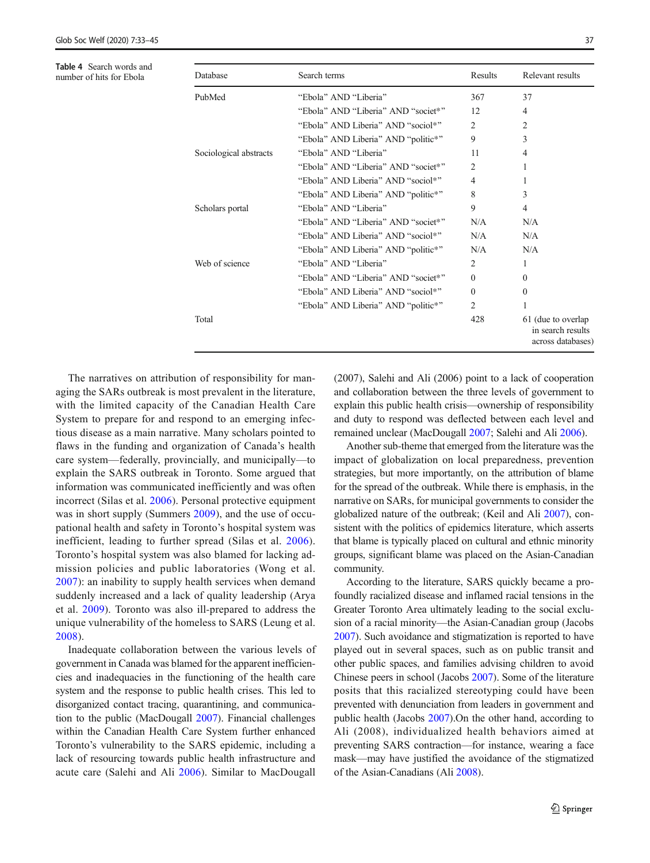<span id="page-4-0"></span>Table 4 Search words and number of hits for Ebola

| Database               | Search terms                        | Results        | Relevant results                                              |
|------------------------|-------------------------------------|----------------|---------------------------------------------------------------|
| PubMed                 | "Ebola" AND "Liberia"               | 367            | 37                                                            |
|                        | "Ebola" AND "Liberia" AND "societ*" | 12             | 4                                                             |
|                        | "Ebola" AND Liberia" AND "sociol*"  | 2              | 2                                                             |
|                        | "Ebola" AND Liberia" AND "politic*" | 9              | 3                                                             |
| Sociological abstracts | "Ebola" AND "Liberia"               | 11             | 4                                                             |
|                        | "Ebola" AND "Liberia" AND "societ*" | 2              |                                                               |
|                        | "Ebola" AND Liberia" AND "sociol*"  | $\overline{4}$ |                                                               |
|                        | "Ebola" AND Liberia" AND "politic*" | 8              | 3                                                             |
| Scholars portal        | "Ebola" AND "Liberia"               | 9              | $\overline{4}$                                                |
|                        | "Ebola" AND "Liberia" AND "societ*" | N/A            | N/A                                                           |
|                        | "Ebola" AND Liberia" AND "sociol*"  | N/A            | N/A                                                           |
|                        | "Ebola" AND Liberia" AND "politic*" | N/A            | N/A                                                           |
| Web of science         | "Ebola" AND "Liberia"               | 2              | 1                                                             |
|                        | "Ebola" AND "Liberia" AND "societ*" | $\theta$       | $\Omega$                                                      |
|                        | "Ebola" AND Liberia" AND "sociol*"  | $\Omega$       | $\theta$                                                      |
|                        | "Ebola" AND Liberia" AND "politic*" | 2              | 1                                                             |
| Total                  |                                     | 428            | 61 (due to overlap)<br>in search results<br>across databases) |

The narratives on attribution of responsibility for managing the SARs outbreak is most prevalent in the literature, with the limited capacity of the Canadian Health Care System to prepare for and respond to an emerging infectious disease as a main narrative. Many scholars pointed to flaws in the funding and organization of Canada's health care system—federally, provincially, and municipally—to explain the SARS outbreak in Toronto. Some argued that information was communicated inefficiently and was often incorrect (Silas et al. [2006\)](#page-12-0). Personal protective equipment was in short supply (Summers [2009\)](#page-12-0), and the use of occupational health and safety in Toronto's hospital system was inefficient, leading to further spread (Silas et al. [2006](#page-12-0)). Toronto's hospital system was also blamed for lacking admission policies and public laboratories (Wong et al. [2007](#page-12-0)): an inability to supply health services when demand suddenly increased and a lack of quality leadership (Arya et al. [2009\)](#page-11-0). Toronto was also ill-prepared to address the unique vulnerability of the homeless to SARS (Leung et al. [2008](#page-11-0)).

Inadequate collaboration between the various levels of government in Canada was blamed for the apparent inefficiencies and inadequacies in the functioning of the health care system and the response to public health crises. This led to disorganized contact tracing, quarantining, and communication to the public (MacDougall [2007](#page-11-0)). Financial challenges within the Canadian Health Care System further enhanced Toronto's vulnerability to the SARS epidemic, including a lack of resourcing towards public health infrastructure and acute care (Salehi and Ali [2006](#page-12-0)). Similar to MacDougall

(2007), Salehi and Ali (2006) point to a lack of cooperation and collaboration between the three levels of government to explain this public health crisis—ownership of responsibility and duty to respond was deflected between each level and remained unclear (MacDougall [2007;](#page-11-0) Salehi and Ali [2006\)](#page-12-0).

Another sub-theme that emerged from the literature was the impact of globalization on local preparedness, prevention strategies, but more importantly, on the attribution of blame for the spread of the outbreak. While there is emphasis, in the narrative on SARs, for municipal governments to consider the globalized nature of the outbreak; (Keil and Ali [2007](#page-11-0)), consistent with the politics of epidemics literature, which asserts that blame is typically placed on cultural and ethnic minority groups, significant blame was placed on the Asian-Canadian community.

According to the literature, SARS quickly became a profoundly racialized disease and inflamed racial tensions in the Greater Toronto Area ultimately leading to the social exclusion of a racial minority—the Asian-Canadian group (Jacobs [2007\)](#page-11-0). Such avoidance and stigmatization is reported to have played out in several spaces, such as on public transit and other public spaces, and families advising children to avoid Chinese peers in school (Jacobs [2007\)](#page-11-0). Some of the literature posits that this racialized stereotyping could have been prevented with denunciation from leaders in government and public health (Jacobs [2007](#page-11-0)).On the other hand, according to Ali (2008), individualized health behaviors aimed at preventing SARS contraction—for instance, wearing a face mask—may have justified the avoidance of the stigmatized of the Asian-Canadians (Ali [2008\)](#page-10-0).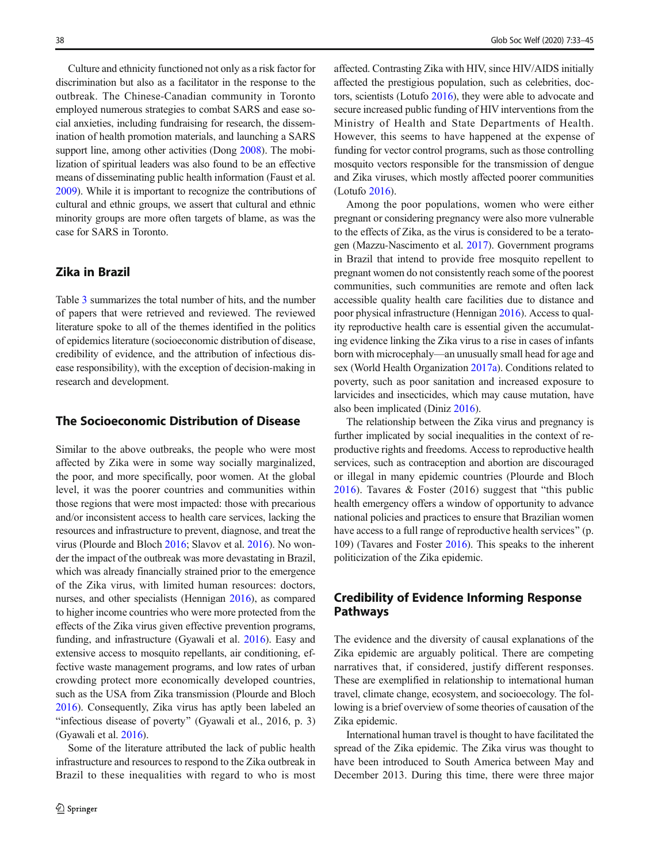Culture and ethnicity functioned not only as a risk factor for discrimination but also as a facilitator in the response to the outbreak. The Chinese-Canadian community in Toronto employed numerous strategies to combat SARS and ease social anxieties, including fundraising for research, the dissemination of health promotion materials, and launching a SARS support line, among other activities (Dong [2008](#page-11-0)). The mobilization of spiritual leaders was also found to be an effective means of disseminating public health information (Faust et al. [2009\)](#page-11-0). While it is important to recognize the contributions of cultural and ethnic groups, we assert that cultural and ethnic minority groups are more often targets of blame, as was the case for SARS in Toronto.

#### Zika in Brazil

Table [3](#page-3-0) summarizes the total number of hits, and the number of papers that were retrieved and reviewed. The reviewed literature spoke to all of the themes identified in the politics of epidemics literature (socioeconomic distribution of disease, credibility of evidence, and the attribution of infectious disease responsibility), with the exception of decision-making in research and development.

# The Socioeconomic Distribution of Disease

Similar to the above outbreaks, the people who were most affected by Zika were in some way socially marginalized, the poor, and more specifically, poor women. At the global level, it was the poorer countries and communities within those regions that were most impacted: those with precarious and/or inconsistent access to health care services, lacking the resources and infrastructure to prevent, diagnose, and treat the virus (Plourde and Bloch [2016;](#page-12-0) Slavov et al. [2016](#page-12-0)). No wonder the impact of the outbreak was more devastating in Brazil, which was already financially strained prior to the emergence of the Zika virus, with limited human resources: doctors, nurses, and other specialists (Hennigan [2016](#page-11-0)), as compared to higher income countries who were more protected from the effects of the Zika virus given effective prevention programs, funding, and infrastructure (Gyawali et al. [2016](#page-11-0)). Easy and extensive access to mosquito repellants, air conditioning, effective waste management programs, and low rates of urban crowding protect more economically developed countries, such as the USA from Zika transmission (Plourde and Bloch [2016\)](#page-12-0). Consequently, Zika virus has aptly been labeled an "infectious disease of poverty" (Gyawali et al., 2016, p. 3) (Gyawali et al. [2016\)](#page-11-0).

Some of the literature attributed the lack of public health infrastructure and resources to respond to the Zika outbreak in Brazil to these inequalities with regard to who is most affected. Contrasting Zika with HIV, since HIV/AIDS initially affected the prestigious population, such as celebrities, doctors, scientists (Lotufo [2016](#page-11-0)), they were able to advocate and secure increased public funding of HIV interventions from the Ministry of Health and State Departments of Health. However, this seems to have happened at the expense of funding for vector control programs, such as those controlling mosquito vectors responsible for the transmission of dengue and Zika viruses, which mostly affected poorer communities (Lotufo [2016\)](#page-11-0).

Among the poor populations, women who were either pregnant or considering pregnancy were also more vulnerable to the effects of Zika, as the virus is considered to be a teratogen (Mazzu-Nascimento et al. [2017](#page-11-0)). Government programs in Brazil that intend to provide free mosquito repellent to pregnant women do not consistently reach some of the poorest communities, such communities are remote and often lack accessible quality health care facilities due to distance and poor physical infrastructure (Hennigan [2016](#page-11-0)). Access to quality reproductive health care is essential given the accumulating evidence linking the Zika virus to a rise in cases of infants born with microcephaly—an unusually small head for age and sex (World Health Organization [2017a](#page-12-0)). Conditions related to poverty, such as poor sanitation and increased exposure to larvicides and insecticides, which may cause mutation, have also been implicated (Diniz [2016](#page-11-0)).

The relationship between the Zika virus and pregnancy is further implicated by social inequalities in the context of reproductive rights and freedoms. Access to reproductive health services, such as contraception and abortion are discouraged or illegal in many epidemic countries (Plourde and Bloch [2016](#page-12-0)). Tavares  $\&$  Foster (2016) suggest that "this public health emergency offers a window of opportunity to advance national policies and practices to ensure that Brazilian women have access to a full range of reproductive health services" (p. 109) (Tavares and Foster [2016](#page-12-0)). This speaks to the inherent politicization of the Zika epidemic.

## Credibility of Evidence Informing Response Pathways

The evidence and the diversity of causal explanations of the Zika epidemic are arguably political. There are competing narratives that, if considered, justify different responses. These are exemplified in relationship to international human travel, climate change, ecosystem, and socioecology. The following is a brief overview of some theories of causation of the Zika epidemic.

International human travel is thought to have facilitated the spread of the Zika epidemic. The Zika virus was thought to have been introduced to South America between May and December 2013. During this time, there were three major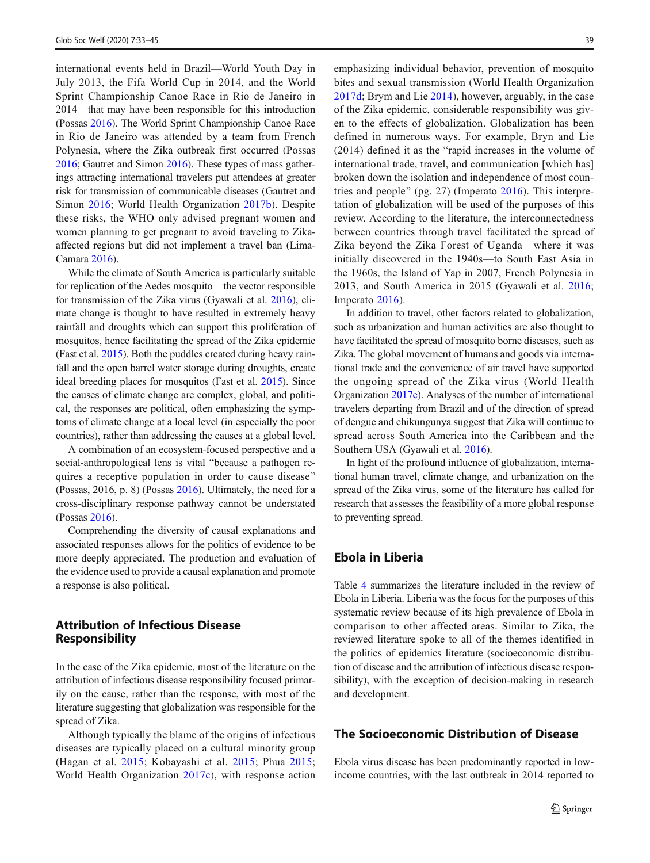international events held in Brazil—World Youth Day in July 2013, the Fifa World Cup in 2014, and the World Sprint Championship Canoe Race in Rio de Janeiro in 2014—that may have been responsible for this introduction (Possas [2016](#page-12-0)). The World Sprint Championship Canoe Race in Rio de Janeiro was attended by a team from French Polynesia, where the Zika outbreak first occurred (Possas [2016;](#page-12-0) Gautret and Simon [2016\)](#page-11-0). These types of mass gatherings attracting international travelers put attendees at greater risk for transmission of communicable diseases (Gautret and Simon [2016](#page-11-0); World Health Organization [2017b\)](#page-12-0). Despite these risks, the WHO only advised pregnant women and women planning to get pregnant to avoid traveling to Zikaaffected regions but did not implement a travel ban (Lima-Camara [2016](#page-11-0)).

While the climate of South America is particularly suitable for replication of the Aedes mosquito—the vector responsible for transmission of the Zika virus (Gyawali et al. [2016\)](#page-11-0), climate change is thought to have resulted in extremely heavy rainfall and droughts which can support this proliferation of mosquitos, hence facilitating the spread of the Zika epidemic (Fast et al. [2015\)](#page-11-0). Both the puddles created during heavy rainfall and the open barrel water storage during droughts, create ideal breeding places for mosquitos (Fast et al. [2015\)](#page-11-0). Since the causes of climate change are complex, global, and political, the responses are political, often emphasizing the symptoms of climate change at a local level (in especially the poor countries), rather than addressing the causes at a global level.

A combination of an ecosystem-focused perspective and a social-anthropological lens is vital "because a pathogen requires a receptive population in order to cause disease" (Possas, 2016, p. 8) (Possas [2016\)](#page-12-0). Ultimately, the need for a cross-disciplinary response pathway cannot be understated (Possas [2016](#page-12-0)).

Comprehending the diversity of causal explanations and associated responses allows for the politics of evidence to be more deeply appreciated. The production and evaluation of the evidence used to provide a causal explanation and promote a response is also political.

## Attribution of Infectious Disease Responsibility

In the case of the Zika epidemic, most of the literature on the attribution of infectious disease responsibility focused primarily on the cause, rather than the response, with most of the literature suggesting that globalization was responsible for the spread of Zika.

Although typically the blame of the origins of infectious diseases are typically placed on a cultural minority group (Hagan et al. [2015](#page-11-0); Kobayashi et al. [2015;](#page-11-0) Phua [2015](#page-12-0); World Health Organization [2017c\)](#page-12-0), with response action emphasizing individual behavior, prevention of mosquito bites and sexual transmission (World Health Organization [2017d;](#page-12-0) Brym and Lie [2014\)](#page-11-0), however, arguably, in the case of the Zika epidemic, considerable responsibility was given to the effects of globalization. Globalization has been defined in numerous ways. For example, Bryn and Lie  $(2014)$  defined it as the "rapid increases in the volume of international trade, travel, and communication [which has] broken down the isolation and independence of most countries and people" (pg. 27) (Imperato  $2016$ ). This interpretation of globalization will be used of the purposes of this review. According to the literature, the interconnectedness between countries through travel facilitated the spread of Zika beyond the Zika Forest of Uganda—where it was initially discovered in the 1940s—to South East Asia in the 1960s, the Island of Yap in 2007, French Polynesia in 2013, and South America in 2015 (Gyawali et al. [2016;](#page-11-0) Imperato [2016\)](#page-11-0).

In addition to travel, other factors related to globalization, such as urbanization and human activities are also thought to have facilitated the spread of mosquito borne diseases, such as Zika. The global movement of humans and goods via international trade and the convenience of air travel have supported the ongoing spread of the Zika virus (World Health Organization [2017e\)](#page-12-0). Analyses of the number of international travelers departing from Brazil and of the direction of spread of dengue and chikungunya suggest that Zika will continue to spread across South America into the Caribbean and the Southern USA (Gyawali et al. [2016\)](#page-11-0).

In light of the profound influence of globalization, international human travel, climate change, and urbanization on the spread of the Zika virus, some of the literature has called for research that assesses the feasibility of a more global response to preventing spread.

## Ebola in Liberia

Table [4](#page-4-0) summarizes the literature included in the review of Ebola in Liberia. Liberia was the focus for the purposes of this systematic review because of its high prevalence of Ebola in comparison to other affected areas. Similar to Zika, the reviewed literature spoke to all of the themes identified in the politics of epidemics literature (socioeconomic distribution of disease and the attribution of infectious disease responsibility), with the exception of decision-making in research and development.

## The Socioeconomic Distribution of Disease

Ebola virus disease has been predominantly reported in lowincome countries, with the last outbreak in 2014 reported to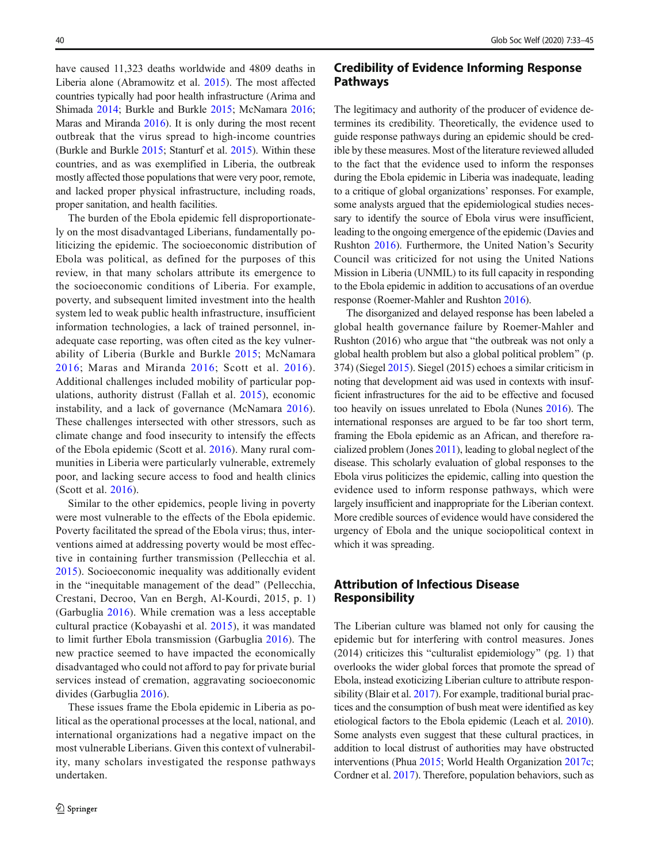have caused 11,323 deaths worldwide and 4809 deaths in Liberia alone (Abramowitz et al. [2015\)](#page-10-0). The most affected countries typically had poor health infrastructure (Arima and Shimada [2014;](#page-11-0) Burkle and Burkle [2015;](#page-11-0) McNamara [2016](#page-11-0); Maras and Miranda [2016\)](#page-11-0). It is only during the most recent outbreak that the virus spread to high-income countries (Burkle and Burkle [2015;](#page-11-0) Stanturf et al. [2015](#page-12-0)). Within these countries, and as was exemplified in Liberia, the outbreak mostly affected those populations that were very poor, remote, and lacked proper physical infrastructure, including roads, proper sanitation, and health facilities.

The burden of the Ebola epidemic fell disproportionately on the most disadvantaged Liberians, fundamentally politicizing the epidemic. The socioeconomic distribution of Ebola was political, as defined for the purposes of this review, in that many scholars attribute its emergence to the socioeconomic conditions of Liberia. For example, poverty, and subsequent limited investment into the health system led to weak public health infrastructure, insufficient information technologies, a lack of trained personnel, inadequate case reporting, was often cited as the key vulnerability of Liberia (Burkle and Burkle [2015](#page-11-0); McNamara [2016](#page-11-0); Maras and Miranda [2016](#page-11-0); Scott et al. [2016\)](#page-12-0). Additional challenges included mobility of particular populations, authority distrust (Fallah et al. [2015](#page-11-0)), economic instability, and a lack of governance (McNamara [2016](#page-11-0)). These challenges intersected with other stressors, such as climate change and food insecurity to intensify the effects of the Ebola epidemic (Scott et al. [2016](#page-12-0)). Many rural communities in Liberia were particularly vulnerable, extremely poor, and lacking secure access to food and health clinics (Scott et al. [2016\)](#page-12-0).

Similar to the other epidemics, people living in poverty were most vulnerable to the effects of the Ebola epidemic. Poverty facilitated the spread of the Ebola virus; thus, interventions aimed at addressing poverty would be most effective in containing further transmission (Pellecchia et al. [2015](#page-12-0)). Socioeconomic inequality was additionally evident in the "inequitable management of the dead" (Pellecchia, Crestani, Decroo, Van en Bergh, Al-Kourdi, 2015, p. 1) (Garbuglia [2016\)](#page-11-0). While cremation was a less acceptable cultural practice (Kobayashi et al. [2015](#page-11-0)), it was mandated to limit further Ebola transmission (Garbuglia [2016](#page-11-0)). The new practice seemed to have impacted the economically disadvantaged who could not afford to pay for private burial services instead of cremation, aggravating socioeconomic divides (Garbuglia [2016](#page-11-0)).

These issues frame the Ebola epidemic in Liberia as political as the operational processes at the local, national, and international organizations had a negative impact on the most vulnerable Liberians. Given this context of vulnerability, many scholars investigated the response pathways undertaken.

# Credibility of Evidence Informing Response Pathways

The legitimacy and authority of the producer of evidence determines its credibility. Theoretically, the evidence used to guide response pathways during an epidemic should be credible by these measures. Most of the literature reviewed alluded to the fact that the evidence used to inform the responses during the Ebola epidemic in Liberia was inadequate, leading to a critique of global organizations' responses. For example, some analysts argued that the epidemiological studies necessary to identify the source of Ebola virus were insufficient, leading to the ongoing emergence of the epidemic (Davies and Rushton [2016\)](#page-11-0). Furthermore, the United Nation's Security Council was criticized for not using the United Nations Mission in Liberia (UNMIL) to its full capacity in responding to the Ebola epidemic in addition to accusations of an overdue response (Roemer-Mahler and Rushton [2016\)](#page-12-0).

The disorganized and delayed response has been labeled a global health governance failure by Roemer-Mahler and Rushton  $(2016)$  who argue that "the outbreak was not only a global health problem but also a global political problem^ (p. 374) (Siegel [2015](#page-12-0)). Siegel (2015) echoes a similar criticism in noting that development aid was used in contexts with insufficient infrastructures for the aid to be effective and focused too heavily on issues unrelated to Ebola (Nunes [2016](#page-12-0)). The international responses are argued to be far too short term, framing the Ebola epidemic as an African, and therefore racialized problem (Jones [2011](#page-11-0)), leading to global neglect of the disease. This scholarly evaluation of global responses to the Ebola virus politicizes the epidemic, calling into question the evidence used to inform response pathways, which were largely insufficient and inappropriate for the Liberian context. More credible sources of evidence would have considered the urgency of Ebola and the unique sociopolitical context in which it was spreading.

## Attribution of Infectious Disease Responsibility

The Liberian culture was blamed not only for causing the epidemic but for interfering with control measures. Jones  $(2014)$  criticizes this "culturalist epidemiology" (pg. 1) that overlooks the wider global forces that promote the spread of Ebola, instead exoticizing Liberian culture to attribute responsibility (Blair et al. [2017\)](#page-11-0). For example, traditional burial practices and the consumption of bush meat were identified as key etiological factors to the Ebola epidemic (Leach et al. [2010\)](#page-11-0). Some analysts even suggest that these cultural practices, in addition to local distrust of authorities may have obstructed interventions (Phua [2015](#page-12-0); World Health Organization [2017c;](#page-12-0) Cordner et al. [2017](#page-11-0)). Therefore, population behaviors, such as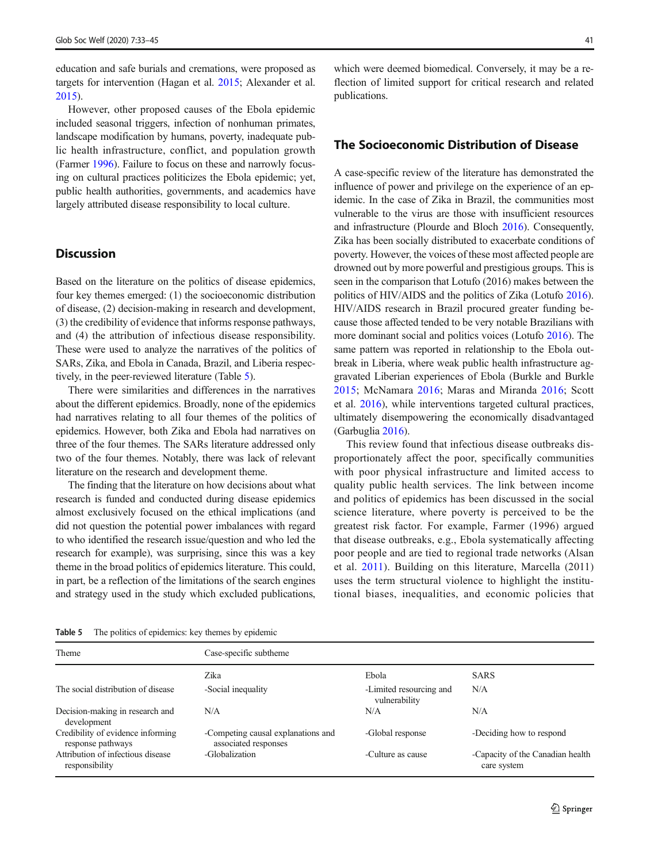education and safe burials and cremations, were proposed as targets for intervention (Hagan et al. [2015](#page-11-0); Alexander et al. [2015\)](#page-10-0).

However, other proposed causes of the Ebola epidemic included seasonal triggers, infection of nonhuman primates, landscape modification by humans, poverty, inadequate public health infrastructure, conflict, and population growth (Farmer [1996](#page-11-0)). Failure to focus on these and narrowly focusing on cultural practices politicizes the Ebola epidemic; yet, public health authorities, governments, and academics have largely attributed disease responsibility to local culture.

#### **Discussion**

Based on the literature on the politics of disease epidemics, four key themes emerged: (1) the socioeconomic distribution of disease, (2) decision-making in research and development, (3) the credibility of evidence that informs response pathways, and (4) the attribution of infectious disease responsibility. These were used to analyze the narratives of the politics of SARs, Zika, and Ebola in Canada, Brazil, and Liberia respectively, in the peer-reviewed literature (Table 5).

There were similarities and differences in the narratives about the different epidemics. Broadly, none of the epidemics had narratives relating to all four themes of the politics of epidemics. However, both Zika and Ebola had narratives on three of the four themes. The SARs literature addressed only two of the four themes. Notably, there was lack of relevant literature on the research and development theme.

The finding that the literature on how decisions about what research is funded and conducted during disease epidemics almost exclusively focused on the ethical implications (and did not question the potential power imbalances with regard to who identified the research issue/question and who led the research for example), was surprising, since this was a key theme in the broad politics of epidemics literature. This could, in part, be a reflection of the limitations of the search engines and strategy used in the study which excluded publications,

which were deemed biomedical. Conversely, it may be a reflection of limited support for critical research and related publications.

## The Socioeconomic Distribution of Disease

A case-specific review of the literature has demonstrated the influence of power and privilege on the experience of an epidemic. In the case of Zika in Brazil, the communities most vulnerable to the virus are those with insufficient resources and infrastructure (Plourde and Bloch [2016\)](#page-12-0). Consequently, Zika has been socially distributed to exacerbate conditions of poverty. However, the voices of these most affected people are drowned out by more powerful and prestigious groups. This is seen in the comparison that Lotufo (2016) makes between the politics of HIV/AIDS and the politics of Zika (Lotufo [2016\)](#page-11-0). HIV/AIDS research in Brazil procured greater funding because those affected tended to be very notable Brazilians with more dominant social and politics voices (Lotufo [2016\)](#page-11-0). The same pattern was reported in relationship to the Ebola outbreak in Liberia, where weak public health infrastructure aggravated Liberian experiences of Ebola (Burkle and Burkle [2015;](#page-11-0) McNamara [2016](#page-11-0); Maras and Miranda [2016;](#page-11-0) Scott et al. [2016\)](#page-12-0), while interventions targeted cultural practices, ultimately disempowering the economically disadvantaged (Garbuglia [2016](#page-11-0)).

This review found that infectious disease outbreaks disproportionately affect the poor, specifically communities with poor physical infrastructure and limited access to quality public health services. The link between income and politics of epidemics has been discussed in the social science literature, where poverty is perceived to be the greatest risk factor. For example, Farmer (1996) argued that disease outbreaks, e.g., Ebola systematically affecting poor people and are tied to regional trade networks (Alsan et al. [2011\)](#page-11-0). Building on this literature, Marcella (2011) uses the term structural violence to highlight the institutional biases, inequalities, and economic policies that

Table 5 The politics of epidemics: key themes by epidemic

| Theme                                                  | Case-specific subtheme                                     |                                          |                                                 |  |
|--------------------------------------------------------|------------------------------------------------------------|------------------------------------------|-------------------------------------------------|--|
|                                                        | Zika                                                       | Ebola                                    | <b>SARS</b>                                     |  |
| The social distribution of disease                     | -Social inequality                                         | -Limited resourcing and<br>vulnerability | N/A                                             |  |
| Decision-making in research and<br>development         | N/A                                                        | N/A                                      | N/A                                             |  |
| Credibility of evidence informing<br>response pathways | -Competing causal explanations and<br>associated responses | -Global response                         | -Deciding how to respond                        |  |
| Attribution of infectious disease<br>responsibility    | -Globalization                                             | -Culture as cause                        | -Capacity of the Canadian health<br>care system |  |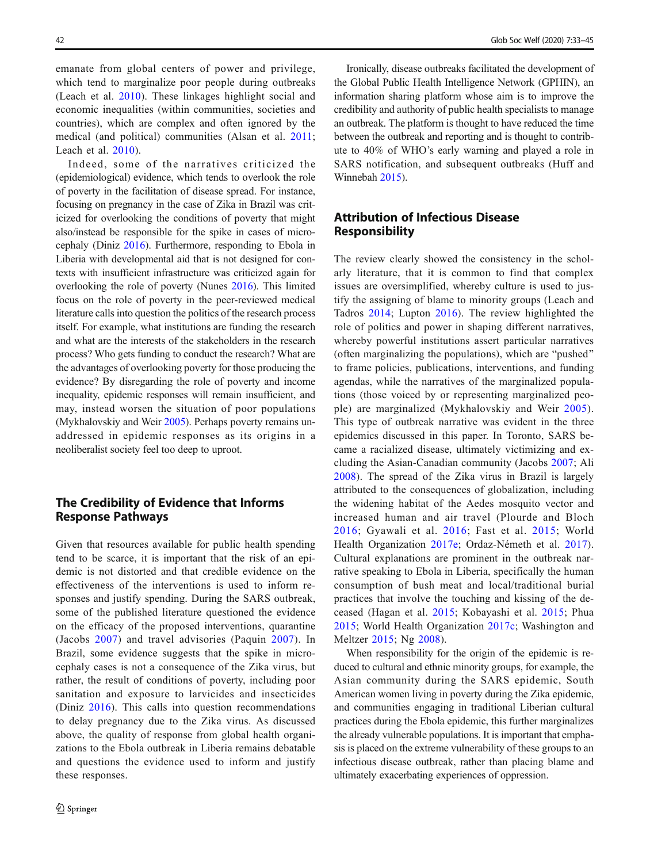emanate from global centers of power and privilege, which tend to marginalize poor people during outbreaks (Leach et al. [2010](#page-11-0)). These linkages highlight social and economic inequalities (within communities, societies and countries), which are complex and often ignored by the medical (and political) communities (Alsan et al. [2011](#page-11-0); Leach et al. [2010\)](#page-11-0).

Indeed, some of the narratives criticized the (epidemiological) evidence, which tends to overlook the role of poverty in the facilitation of disease spread. For instance, focusing on pregnancy in the case of Zika in Brazil was criticized for overlooking the conditions of poverty that might also/instead be responsible for the spike in cases of microcephaly (Diniz [2016\)](#page-11-0). Furthermore, responding to Ebola in Liberia with developmental aid that is not designed for contexts with insufficient infrastructure was criticized again for overlooking the role of poverty (Nunes [2016\)](#page-12-0). This limited focus on the role of poverty in the peer-reviewed medical literature calls into question the politics of the research process itself. For example, what institutions are funding the research and what are the interests of the stakeholders in the research process? Who gets funding to conduct the research? What are the advantages of overlooking poverty for those producing the evidence? By disregarding the role of poverty and income inequality, epidemic responses will remain insufficient, and may, instead worsen the situation of poor populations (Mykhalovskiy and Weir [2005\)](#page-11-0). Perhaps poverty remains unaddressed in epidemic responses as its origins in a neoliberalist society feel too deep to uproot.

#### The Credibility of Evidence that Informs Response Pathways

Given that resources available for public health spending tend to be scarce, it is important that the risk of an epidemic is not distorted and that credible evidence on the effectiveness of the interventions is used to inform responses and justify spending. During the SARS outbreak, some of the published literature questioned the evidence on the efficacy of the proposed interventions, quarantine (Jacobs [2007](#page-11-0)) and travel advisories (Paquin [2007\)](#page-12-0). In Brazil, some evidence suggests that the spike in microcephaly cases is not a consequence of the Zika virus, but rather, the result of conditions of poverty, including poor sanitation and exposure to larvicides and insecticides (Diniz [2016\)](#page-11-0). This calls into question recommendations to delay pregnancy due to the Zika virus. As discussed above, the quality of response from global health organizations to the Ebola outbreak in Liberia remains debatable and questions the evidence used to inform and justify these responses.

Ironically, disease outbreaks facilitated the development of the Global Public Health Intelligence Network (GPHIN), an information sharing platform whose aim is to improve the credibility and authority of public health specialists to manage an outbreak. The platform is thought to have reduced the time between the outbreak and reporting and is thought to contribute to 40% of WHO's early warning and played a role in SARS notification, and subsequent outbreaks (Huff and Winnebah [2015](#page-11-0)).

# Attribution of Infectious Disease Responsibility

The review clearly showed the consistency in the scholarly literature, that it is common to find that complex issues are oversimplified, whereby culture is used to justify the assigning of blame to minority groups (Leach and Tadros [2014](#page-11-0); Lupton [2016](#page-11-0)). The review highlighted the role of politics and power in shaping different narratives, whereby powerful institutions assert particular narratives (often marginalizing the populations), which are "pushed" to frame policies, publications, interventions, and funding agendas, while the narratives of the marginalized populations (those voiced by or representing marginalized people) are marginalized (Mykhalovskiy and Weir [2005](#page-11-0)). This type of outbreak narrative was evident in the three epidemics discussed in this paper. In Toronto, SARS became a racialized disease, ultimately victimizing and excluding the Asian-Canadian community (Jacobs [2007;](#page-11-0) Ali [2008](#page-10-0)). The spread of the Zika virus in Brazil is largely attributed to the consequences of globalization, including the widening habitat of the Aedes mosquito vector and increased human and air travel (Plourde and Bloch [2016;](#page-12-0) Gyawali et al. [2016](#page-11-0); Fast et al. [2015;](#page-11-0) World Health Organization [2017e;](#page-12-0) Ordaz-Németh et al. [2017](#page-12-0)). Cultural explanations are prominent in the outbreak narrative speaking to Ebola in Liberia, specifically the human consumption of bush meat and local/traditional burial practices that involve the touching and kissing of the deceased (Hagan et al. [2015;](#page-11-0) Kobayashi et al. [2015](#page-11-0); Phua [2015](#page-12-0); World Health Organization [2017c](#page-12-0); Washington and Meltzer [2015](#page-12-0); Ng [2008\)](#page-12-0).

When responsibility for the origin of the epidemic is reduced to cultural and ethnic minority groups, for example, the Asian community during the SARS epidemic, South American women living in poverty during the Zika epidemic, and communities engaging in traditional Liberian cultural practices during the Ebola epidemic, this further marginalizes the already vulnerable populations. It is important that emphasis is placed on the extreme vulnerability of these groups to an infectious disease outbreak, rather than placing blame and ultimately exacerbating experiences of oppression.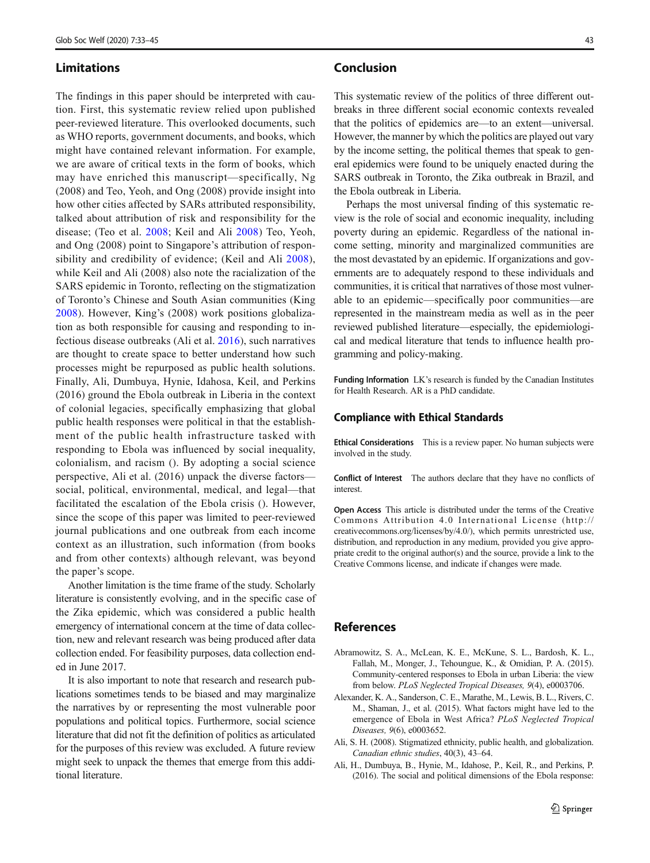#### <span id="page-10-0"></span>Limitations

The findings in this paper should be interpreted with caution. First, this systematic review relied upon published peer-reviewed literature. This overlooked documents, such as WHO reports, government documents, and books, which might have contained relevant information. For example, we are aware of critical texts in the form of books, which may have enriched this manuscript—specifically, Ng (2008) and Teo, Yeoh, and Ong (2008) provide insight into how other cities affected by SARs attributed responsibility, talked about attribution of risk and responsibility for the disease; (Teo et al. [2008](#page-12-0); Keil and Ali [2008](#page-11-0)) Teo, Yeoh, and Ong (2008) point to Singapore's attribution of responsibility and credibility of evidence; (Keil and Ali [2008](#page-11-0)), while Keil and Ali (2008) also note the racialization of the SARS epidemic in Toronto, reflecting on the stigmatization of Toronto's Chinese and South Asian communities (King [2008](#page-11-0)). However, King's (2008) work positions globalization as both responsible for causing and responding to infectious disease outbreaks (Ali et al. 2016), such narratives are thought to create space to better understand how such processes might be repurposed as public health solutions. Finally, Ali, Dumbuya, Hynie, Idahosa, Keil, and Perkins (2016) ground the Ebola outbreak in Liberia in the context of colonial legacies, specifically emphasizing that global public health responses were political in that the establishment of the public health infrastructure tasked with responding to Ebola was influenced by social inequality, colonialism, and racism (). By adopting a social science perspective, Ali et al. (2016) unpack the diverse factors social, political, environmental, medical, and legal—that facilitated the escalation of the Ebola crisis (). However, since the scope of this paper was limited to peer-reviewed journal publications and one outbreak from each income context as an illustration, such information (from books and from other contexts) although relevant, was beyond the paper's scope.

Another limitation is the time frame of the study. Scholarly literature is consistently evolving, and in the specific case of the Zika epidemic, which was considered a public health emergency of international concern at the time of data collection, new and relevant research was being produced after data collection ended. For feasibility purposes, data collection ended in June 2017.

It is also important to note that research and research publications sometimes tends to be biased and may marginalize the narratives by or representing the most vulnerable poor populations and political topics. Furthermore, social science literature that did not fit the definition of politics as articulated for the purposes of this review was excluded. A future review might seek to unpack the themes that emerge from this additional literature.

#### Conclusion

This systematic review of the politics of three different outbreaks in three different social economic contexts revealed that the politics of epidemics are—to an extent—universal. However, the manner by which the politics are played out vary by the income setting, the political themes that speak to general epidemics were found to be uniquely enacted during the SARS outbreak in Toronto, the Zika outbreak in Brazil, and the Ebola outbreak in Liberia.

Perhaps the most universal finding of this systematic review is the role of social and economic inequality, including poverty during an epidemic. Regardless of the national income setting, minority and marginalized communities are the most devastated by an epidemic. If organizations and governments are to adequately respond to these individuals and communities, it is critical that narratives of those most vulnerable to an epidemic—specifically poor communities—are represented in the mainstream media as well as in the peer reviewed published literature—especially, the epidemiological and medical literature that tends to influence health programming and policy-making.

Funding Information LK's research is funded by the Canadian Institutes for Health Research. AR is a PhD candidate.

#### Compliance with Ethical Standards

Ethical Considerations This is a review paper. No human subjects were involved in the study.

Conflict of Interest The authors declare that they have no conflicts of interest.

Open Access This article is distributed under the terms of the Creative Commons Attribution 4.0 International License (http:// creativecommons.org/licenses/by/4.0/), which permits unrestricted use, distribution, and reproduction in any medium, provided you give appropriate credit to the original author(s) and the source, provide a link to the Creative Commons license, and indicate if changes were made.

#### References

- Abramowitz, S. A., McLean, K. E., McKune, S. L., Bardosh, K. L., Fallah, M., Monger, J., Tehoungue, K., & Omidian, P. A. (2015). Community-centered responses to Ebola in urban Liberia: the view from below. PLoS Neglected Tropical Diseases, 9(4), e0003706.
- Alexander, K. A., Sanderson, C. E., Marathe, M., Lewis, B. L., Rivers, C. M., Shaman, J., et al. (2015). What factors might have led to the emergence of Ebola in West Africa? PLoS Neglected Tropical Diseases, 9(6), e0003652.
- Ali, S. H. (2008). Stigmatized ethnicity, public health, and globalization. Canadian ethnic studies, 40(3), 43–64.
- Ali, H., Dumbuya, B., Hynie, M., Idahose, P., Keil, R., and Perkins, P. (2016). The social and political dimensions of the Ebola response: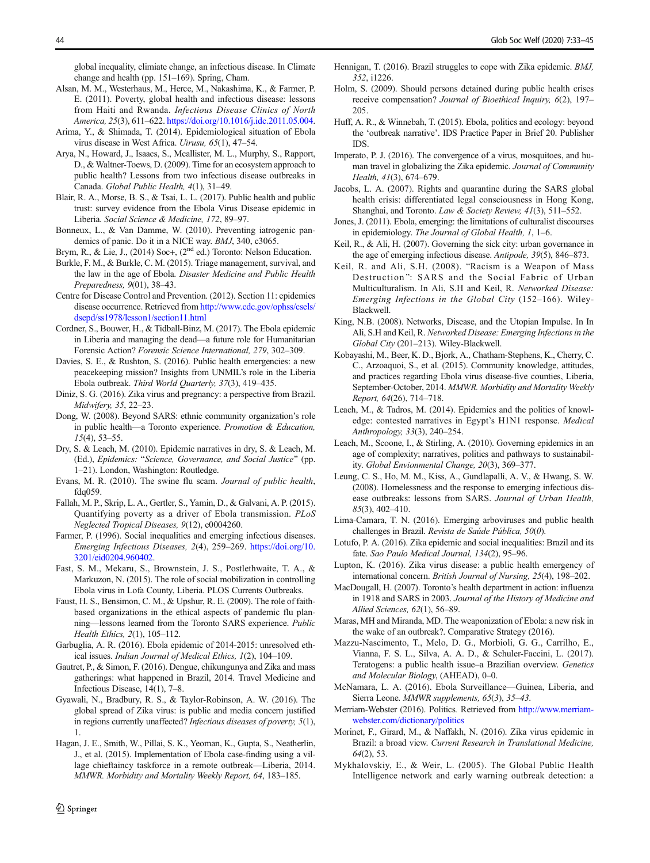- <span id="page-11-0"></span>Alsan, M. M., Westerhaus, M., Herce, M., Nakashima, K., & Farmer, P. E. (2011). Poverty, global health and infectious disease: lessons from Haiti and Rwanda. Infectious Disease Clinics of North America, 25(3), 611–622. <https://doi.org/10.1016/j.idc.2011.05.004>.
- Arima, Y., & Shimada, T. (2014). Epidemiological situation of Ebola virus disease in West Africa. Uirusu, 65(1), 47–54.
- Arya, N., Howard, J., Isaacs, S., Mcallister, M. L., Murphy, S., Rapport, D., & Waltner-Toews, D. (2009). Time for an ecosystem approach to public health? Lessons from two infectious disease outbreaks in Canada. Global Public Health, 4(1), 31–49.
- Blair, R. A., Morse, B. S., & Tsai, L. L. (2017). Public health and public trust: survey evidence from the Ebola Virus Disease epidemic in Liberia. Social Science & Medicine, 172, 89–97.
- Bonneux, L., & Van Damme, W. (2010). Preventing iatrogenic pandemics of panic. Do it in a NICE way. BMJ, 340, c3065.
- Brym, R., & Lie, J., (2014) Soc+, ( $2<sup>nd</sup>$  ed.) Toronto: Nelson Education.
- Burkle, F. M., & Burkle, C. M. (2015). Triage management, survival, and the law in the age of Ebola. Disaster Medicine and Public Health Preparedness, 9(01), 38–43.
- Centre for Disease Control and Prevention. (2012). Section 11: epidemics disease occurrence. Retrieved from [http://www.cdc.gov/ophss/csels/](http://www.cdc.gov/ophss/csels/dsepd/ss1978/lesson1/section11.html) [dsepd/ss1978/lesson1/section11.html](http://www.cdc.gov/ophss/csels/dsepd/ss1978/lesson1/section11.html)
- Cordner, S., Bouwer, H., & Tidball-Binz, M. (2017). The Ebola epidemic in Liberia and managing the dead—a future role for Humanitarian Forensic Action? Forensic Science International, 279, 302–309.
- Davies, S. E., & Rushton, S. (2016). Public health emergencies: a new peacekeeping mission? Insights from UNMIL's role in the Liberia Ebola outbreak. Third World Quarterly, 37(3), 419–435.
- Diniz, S. G. (2016). Zika virus and pregnancy: a perspective from Brazil. Midwifery, 35, 22–23.
- Dong, W. (2008). Beyond SARS: ethnic community organization's role in public health—a Toronto experience. Promotion & Education, 15(4), 53–55.
- Dry, S. & Leach, M. (2010). Epidemic narratives in dry, S. & Leach, M. (Ed.), Epidemics: "Science, Governance, and Social Justice" (pp. 1–21). London, Washington: Routledge.
- Evans, M. R. (2010). The swine flu scam. Journal of public health, fdq059.
- Fallah, M. P., Skrip, L. A., Gertler, S., Yamin, D., & Galvani, A. P. (2015). Quantifying poverty as a driver of Ebola transmission. PLoS Neglected Tropical Diseases, 9(12), e0004260.
- Farmer, P. (1996). Social inequalities and emerging infectious diseases. Emerging Infectious Diseases, 2(4), 259–269. [https://doi.org/10.](https://doi.org/10.3201/eid0204.960402) [3201/eid0204.960402](https://doi.org/10.3201/eid0204.960402).
- Fast, S. M., Mekaru, S., Brownstein, J. S., Postlethwaite, T. A., & Markuzon, N. (2015). The role of social mobilization in controlling Ebola virus in Lofa County, Liberia. PLOS Currents Outbreaks.
- Faust, H. S., Bensimon, C. M., & Upshur, R. E. (2009). The role of faithbased organizations in the ethical aspects of pandemic flu planning—lessons learned from the Toronto SARS experience. Public Health Ethics, 2(1), 105–112.
- Garbuglia, A. R. (2016). Ebola epidemic of 2014-2015: unresolved ethical issues. Indian Journal of Medical Ethics, 1(2), 104–109.
- Gautret, P., & Simon, F. (2016). Dengue, chikungunya and Zika and mass gatherings: what happened in Brazil, 2014. Travel Medicine and Infectious Disease, 14(1), 7–8.
- Gyawali, N., Bradbury, R. S., & Taylor-Robinson, A. W. (2016). The global spread of Zika virus: is public and media concern justified in regions currently unaffected? Infectious diseases of poverty, 5(1), 1.
- Hagan, J. E., Smith, W., Pillai, S. K., Yeoman, K., Gupta, S., Neatherlin, J., et al. (2015). Implementation of Ebola case-finding using a village chieftaincy taskforce in a remote outbreak—Liberia, 2014. MMWR. Morbidity and Mortality Weekly Report, 64, 183–185.
- Hennigan, T. (2016). Brazil struggles to cope with Zika epidemic. BMJ, 352, i1226.
- Holm, S. (2009). Should persons detained during public health crises receive compensation? Journal of Bioethical Inquiry, 6(2), 197– 205.
- Huff, A. R., & Winnebah, T. (2015). Ebola, politics and ecology: beyond the 'outbreak narrative'. IDS Practice Paper in Brief 20. Publisher **IDS**
- Imperato, P. J. (2016). The convergence of a virus, mosquitoes, and human travel in globalizing the Zika epidemic. Journal of Community Health, 41(3), 674–679.
- Jacobs, L. A. (2007). Rights and quarantine during the SARS global health crisis: differentiated legal consciousness in Hong Kong, Shanghai, and Toronto. Law & Society Review, 41(3), 511-552.
- Jones, J. (2011). Ebola, emerging: the limitations of culturalist discourses in epidemiology. The Journal of Global Health, 1, 1–6.
- Keil, R., & Ali, H. (2007). Governing the sick city: urban governance in the age of emerging infectious disease. Antipode, 39(5), 846–873.
- Keil, R. and Ali, S.H. (2008). "Racism is a Weapon of Mass Destruction": SARS and the Social Fabric of Urban Multiculturalism. In Ali, S.H and Keil, R. Networked Disease: Emerging Infections in the Global City (152–166). Wiley-Blackwell.
- King, N.B. (2008). Networks, Disease, and the Utopian Impulse. In In Ali, S.H and Keil, R. Networked Disease: Emerging Infections in the Global City (201–213). Wiley-Blackwell.
- Kobayashi, M., Beer, K. D., Bjork, A., Chatham-Stephens, K., Cherry, C. C., Arzoaquoi, S., et al. (2015). Community knowledge, attitudes, and practices regarding Ebola virus disease-five counties, Liberia, September-October, 2014. MMWR. Morbidity and Mortality Weekly Report, 64(26), 714–718.
- Leach, M., & Tadros, M. (2014). Epidemics and the politics of knowledge: contested narratives in Egypt's H1N1 response. Medical Anthropology, 33(3), 240–254.
- Leach, M., Scoone, I., & Stirling, A. (2010). Governing epidemics in an age of complexity; narratives, politics and pathways to sustainability. Global Envionmental Change, 20(3), 369–377.
- Leung, C. S., Ho, M. M., Kiss, A., Gundlapalli, A. V., & Hwang, S. W. (2008). Homelessness and the response to emerging infectious disease outbreaks: lessons from SARS. Journal of Urban Health, 85(3), 402–410.
- Lima-Camara, T. N. (2016). Emerging arboviruses and public health challenges in Brazil. Revista de Saúde Pública, 50(0).
- Lotufo, P. A. (2016). Zika epidemic and social inequalities: Brazil and its fate. Sao Paulo Medical Journal, 134(2), 95–96.
- Lupton, K. (2016). Zika virus disease: a public health emergency of international concern. British Journal of Nursing, 25(4), 198–202.
- MacDougall, H. (2007). Toronto's health department in action: influenza in 1918 and SARS in 2003. Journal of the History of Medicine and Allied Sciences, 62(1), 56–89.
- Maras, MH and Miranda, MD. The weaponization of Ebola: a new risk in the wake of an outbreak?. Comparative Strategy (2016).
- Mazzu-Nascimento, T., Melo, D. G., Morbioli, G. G., Carrilho, E., Vianna, F. S. L., Silva, A. A. D., & Schuler-Faccini, L. (2017). Teratogens: a public health issue–a Brazilian overview. Genetics and Molecular Biology, (AHEAD), 0–0.
- McNamara, L. A. (2016). Ebola Surveillance—Guinea, Liberia, and Sierra Leone. MMWR supplements, 65(3), 35–43.
- Merriam-Webster (2016). Politics. Retrieved from [http://www.merriam](http://www.merriam-webster.com/dictionary/politics)[webster.com/dictionary/politics](http://www.merriam-webster.com/dictionary/politics)
- Morinet, F., Girard, M., & Naffakh, N. (2016). Zika virus epidemic in Brazil: a broad view. Current Research in Translational Medicine, 64(2), 53.
- Mykhalovskiy, E., & Weir, L. (2005). The Global Public Health Intelligence network and early warning outbreak detection: a